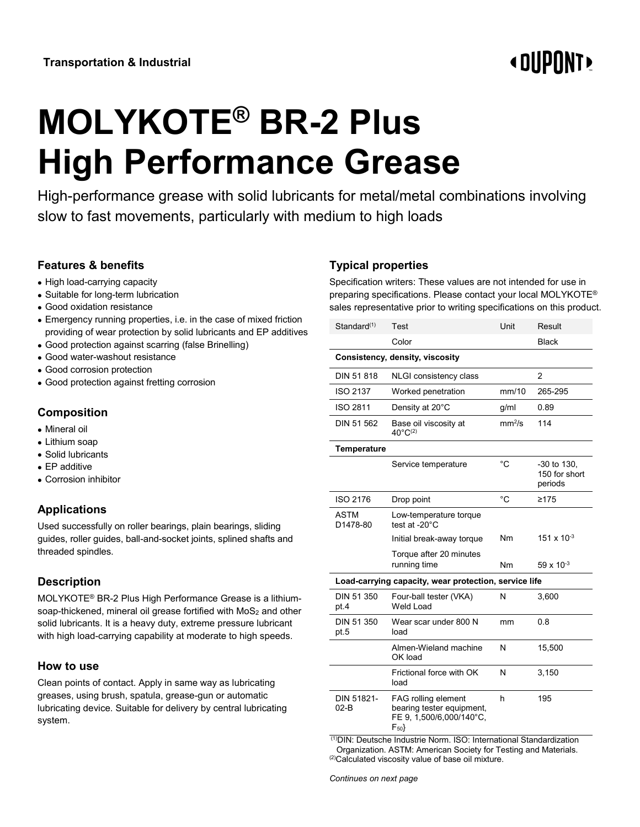# **« DIIPNNT**

# **MOLYKOTE® BR-2 Plus High Performance Grease**

High-performance grease with solid lubricants for metal/metal combinations involving slow to fast movements, particularly with medium to high loads

# **Features & benefits**

- High load-carrying capacity
- Suitable for long-term lubrication
- Good oxidation resistance
- Emergency running properties, i.e. in the case of mixed friction providing of wear protection by solid lubricants and EP additives
- Good protection against scarring (false Brinelling)
- Good water-washout resistance
- Good corrosion protection
- Good protection against fretting corrosion

# **Composition**

- Mineral oil
- Lithium soap
- Solid lubricants
- EP additive
- Corrosion inhibitor

# **Applications**

Used successfully on roller bearings, plain bearings, sliding guides, roller guides, ball-and-socket joints, splined shafts and threaded spindles.

# **Description**

MOLYKOTE® BR-2 Plus High Performance Grease is a lithiumsoap-thickened, mineral oil grease fortified with MoS<sub>2</sub> and other solid lubricants. It is a heavy duty, extreme pressure lubricant with high load-carrying capability at moderate to high speeds.

#### **How to use**

Clean points of contact. Apply in same way as lubricating greases, using brush, spatula, grease-gun or automatic lubricating device. Suitable for delivery by central lubricating system.

# **Typical properties**

Specification writers: These values are not intended for use in preparing specifications. Please contact your local MOLYKOTE® sales representative prior to writing specifications on this product.

| Standard <sup>(1)</sup>                               | Test                                                                                            | Unit               | Result                                    |  |
|-------------------------------------------------------|-------------------------------------------------------------------------------------------------|--------------------|-------------------------------------------|--|
|                                                       | Color                                                                                           |                    | <b>Black</b>                              |  |
| Consistency, density, viscosity                       |                                                                                                 |                    |                                           |  |
| DIN 51 818                                            | NLGI consistency class                                                                          |                    | 2                                         |  |
| <b>ISO 2137</b>                                       | Worked penetration                                                                              | mm/10              | 265-295                                   |  |
| ISO 2811                                              | Density at 20°C                                                                                 | g/ml               | 0.89                                      |  |
| DIN 51 562                                            | Base oil viscosity at<br>$40^{\circ}C^{(2)}$                                                    | mm <sup>2</sup> /s | 114                                       |  |
| <b>Temperature</b>                                    |                                                                                                 |                    |                                           |  |
|                                                       | Service temperature                                                                             | $^{\circ}C$        | $-30$ to 130,<br>150 for short<br>periods |  |
| ISO 2176                                              | Drop point                                                                                      | $^{\circ}C$        | ≥175                                      |  |
| ASTM<br>D1478-80                                      | Low-temperature torque<br>test at -20°C                                                         |                    |                                           |  |
|                                                       | Initial break-away torque                                                                       | Nm                 | 151 x 10 $-3$                             |  |
|                                                       | Torque after 20 minutes<br>running time                                                         | Nm                 | $59 \times 10^{-3}$                       |  |
| Load-carrying capacity, wear protection, service life |                                                                                                 |                    |                                           |  |
| DIN 51 350<br>pt.4                                    | Four-ball tester (VKA)<br>Weld Load                                                             | N                  | 3,600                                     |  |
| DIN 51 350<br>pt.5                                    | Wear scar under 800 N<br>load                                                                   | mm                 | 0.8                                       |  |
|                                                       | Almen-Wieland machine<br>OK load                                                                | N                  | 15,500                                    |  |
|                                                       | Frictional force with OK<br>load                                                                | N                  | 3,150                                     |  |
| DIN 51821-<br>$02-B$                                  | <b>FAG rolling element</b><br>bearing tester equipment,<br>FE 9, 1,500/6,000/140°C,<br>$F_{50}$ | h                  | 195                                       |  |

(1)DIN: Deutsche Industrie Norm. ISO: International Standardization Organization. ASTM: American Society for Testing and Materials. (2)Calculated viscosity value of base oil mixture.

*Continues on next page*